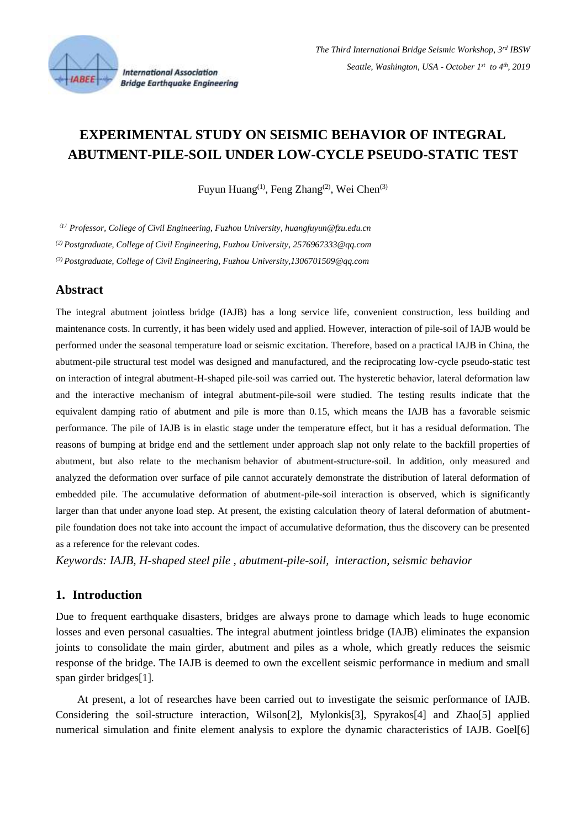

# **EXPERIMENTAL STUDY ON SEISMIC BEHAVIOR OF INTEGRAL ABUTMENT-PILE-SOIL UNDER LOW-CYCLE PSEUDO-STATIC TEST**

Fuyun Huang<sup>(1)</sup>, Feng Zhang<sup>(2)</sup>, Wei Chen<sup>(3)</sup>

(*1*) *Professor, College of Civil Engineering, Fuzhou University[, huangfuyun@fzu.edu.cn](mailto:Huangfuyun@fzu.edu.cn)*

*(2) Postgraduate, College of Civil Engineering, Fuzhou University, 2576967333@qq.com*

*(3) Postgraduate, College of Civil Engineering, Fuzho[u University,1306701509@qq.com](mailto:University,1306701509@qq.com)*

### **Abstract**

The integral abutment jointless bridge (IAJB) has a long service life, convenient construction, less building and maintenance costs. In currently, it has been widely used and applied. However, interaction of pile-soil of IAJB would be performed under the seasonal temperature load or seismic excitation. Therefore, based on a practical IAJB in China, the abutment-pile structural test model was designed and manufactured, and the reciprocating low-cycle pseudo-static test on interaction of integral abutment-H-shaped pile-soil was carried out. The hysteretic behavior, lateral deformation law and the interactive mechanism of integral abutment-pile-soil were studied. The testing results indicate that the equivalent damping ratio of abutment and pile is more than 0.15, which means the IAJB has a favorable seismic performance. The pile of IAJB is in elastic stage under the temperature effect, but it has a residual deformation. The reasons of bumping at bridge end and the settlement under approach slap not only relate to the backfill properties of abutment, but also relate to the mechanism behavior of abutment-structure-soil. In addition, only measured and analyzed the deformation over surface of pile cannot accurately demonstrate the distribution of lateral deformation of embedded pile. The accumulative deformation of abutment-pile-soil interaction is observed, which is significantly larger than that under anyone load step. At present, the existing calculation theory of lateral deformation of abutmentpile foundation does not take into account the impact of accumulative deformation, thus the discovery can be presented as a reference for the relevant codes.

*Keywords: IAJB, H-shaped steel pile , abutment-pile-soil, interaction, seismic behavior*

# **1. Introduction**

Due to frequent earthquake disasters, bridges are always prone to damage which leads to huge economic losses and even personal casualties. The integral abutment jointless bridge (IAJB) eliminates the expansion joints to consolidate the main girder, abutment and piles as a whole, which greatly reduces the seismic response of the bridge. The IAJB is deemed to own the excellent seismic performance in medium and small span girder bridges[1].

At present, a lot of researches have been carried out to investigate the seismic performance of IAJB. Considering the soil-structure interaction, Wilson[2], Mylonkis[3], Spyrakos[4] and Zhao[5] applied numerical simulation and finite element analysis to explore the dynamic characteristics of IAJB. Goel[6]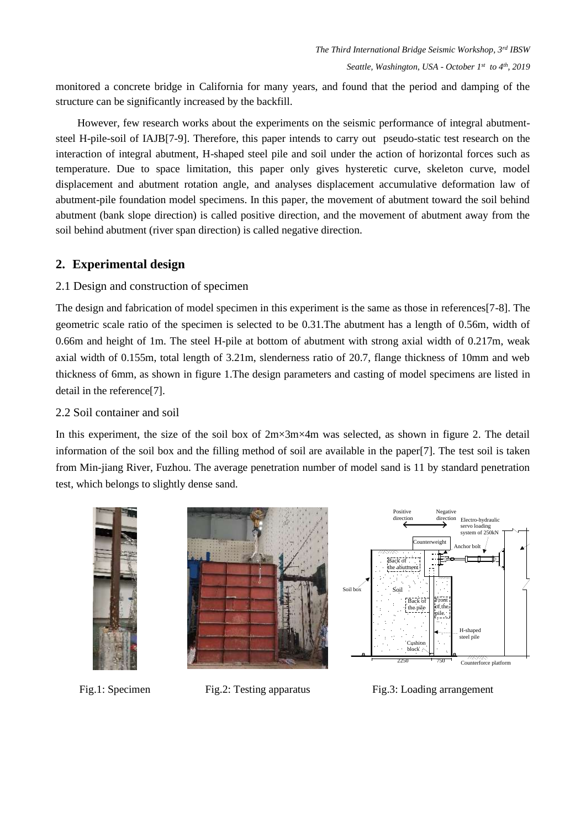monitored a concrete bridge in California for many years, and found that the period and damping of the structure can be significantly increased by the backfill.

However, few research works about the experiments on the seismic performance of integral abutmentsteel H-pile-soil of IAJB[7-9]. Therefore, this paper intends to carry out pseudo-static test research on the interaction of integral abutment, H-shaped steel pile and soil under the action of horizontal forces such as temperature. Due to space limitation, this paper only gives hysteretic curve, skeleton curve, model displacement and abutment rotation angle, and analyses displacement accumulative deformation law of abutment-pile foundation model specimens. In this paper, the movement of abutment toward the soil behind abutment (bank slope direction) is called positive direction, and the movement of abutment away from the soil behind abutment (river span direction) is called negative direction.

# **2. Experimental design**

# 2.1 Design and construction of specimen

The design and fabrication of model specimen in this experiment is the same as those in references[7-8]. The geometric scale ratio of the specimen is selected to be 0.31.The abutment has a length of 0.56m, width of 0.66m and height of 1m. The steel H-pile at bottom of abutment with strong axial width of 0.217m, weak axial width of 0.155m, total length of 3.21m, slenderness ratio of 20.7, flange thickness of 10mm and web thickness of 6mm, as shown in figure 1.The design parameters and casting of model specimens are listed in detail in the reference[7].

# 2.2 Soil container and soil

In this experiment, the size of the soil box of 2m×3m×4m was selected, as shown in figure 2. The detail information of the soil box and the filling method of soil are available in the paper[7]. The test soil is taken from Min-jiang River, Fuzhou. The average penetration number of model sand is 11 by standard penetration test, which belongs to slightly dense sand.



Fig.1: Specimen Fig.2: Testing apparatus Fig.3: Loading arrangement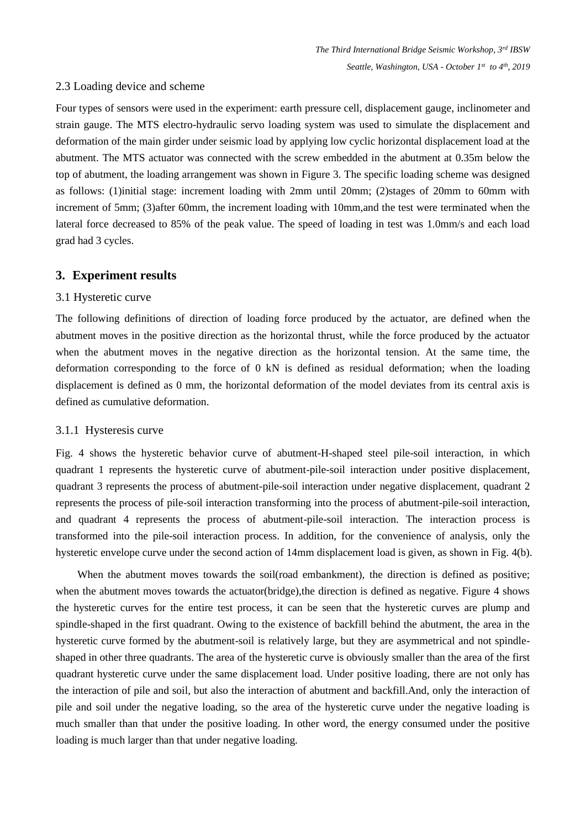#### 2.3 Loading device and scheme

Four types of sensors were used in the experiment: earth pressure cell, displacement gauge, inclinometer and strain gauge. The MTS electro-hydraulic servo loading system was used to simulate the displacement and deformation of the main girder under seismic load by applying low cyclic horizontal displacement load at the abutment. The MTS actuator was connected with the screw embedded in the abutment at 0.35m below the top of abutment, the loading arrangement was shown in Figure 3. The specific loading scheme was designed as follows: (1)initial stage: increment loading with 2mm until 20mm; (2)stages of 20mm to 60mm with increment of 5mm; (3)after 60mm, the increment loading with 10mm,and the test were terminated when the lateral force decreased to 85% of the peak value. The speed of loading in test was 1.0mm/s and each load grad had 3 cycles.

#### **3. Experiment results**

#### 3.1 Hysteretic curve

The following definitions of direction of loading force produced by the actuator, are defined when the abutment moves in the positive direction as the horizontal thrust, while the force produced by the actuator when the abutment moves in the negative direction as the horizontal tension. At the same time, the deformation corresponding to the force of 0 kN is defined as residual deformation; when the loading displacement is defined as 0 mm, the horizontal deformation of the model deviates from its central axis is defined as cumulative deformation.

#### 3.1.1 Hysteresis curve

Fig. 4 shows the hysteretic behavior curve of abutment-H-shaped steel pile-soil interaction, in which quadrant 1 represents the hysteretic curve of abutment-pile-soil interaction under positive displacement, quadrant 3 represents the process of abutment-pile-soil interaction under negative displacement, quadrant 2 represents the process of pile-soil interaction transforming into the process of abutment-pile-soil interaction, and quadrant 4 represents the process of abutment-pile-soil interaction. The interaction process is transformed into the pile-soil interaction process. In addition, for the convenience of analysis, only the hysteretic envelope curve under the second action of 14mm displacement load is given, as shown in Fig. 4(b).

When the abutment moves towards the soil(road embankment), the direction is defined as positive; when the abutment moves towards the actuator(bridge), the direction is defined as negative. Figure 4 shows the hysteretic curves for the entire test process, it can be seen that the hysteretic curves are plump and spindle-shaped in the first quadrant. Owing to the existence of backfill behind the abutment, the area in the hysteretic curve formed by the abutment-soil is relatively large, but they are asymmetrical and not spindleshaped in other three quadrants. The area of the hysteretic curve is obviously smaller than the area of the first quadrant hysteretic curve under the same displacement load. Under positive loading, there are not only has the interaction of pile and soil, but also the interaction of abutment and backfill.And, only the interaction of pile and soil under the negative loading, so the area of the hysteretic curve under the negative loading is much smaller than that under the positive loading. In other word, the energy consumed under the positive loading is much larger than that under negative loading.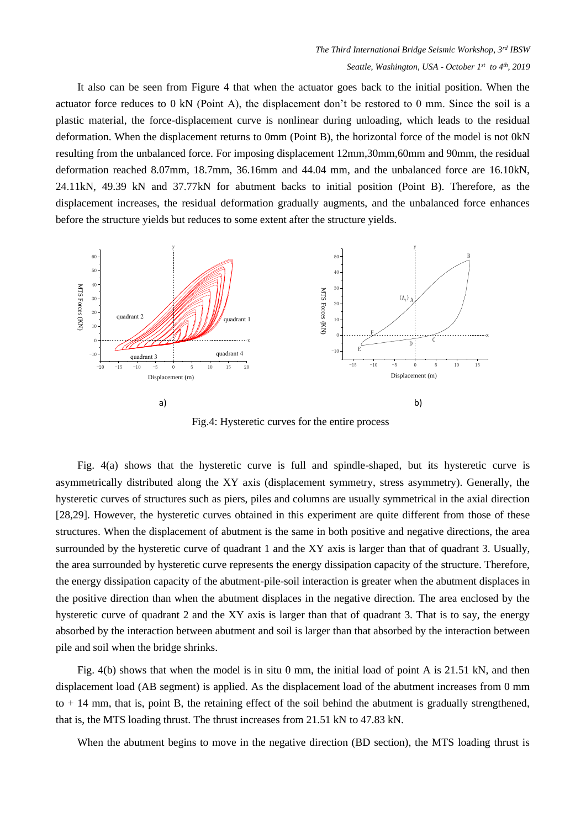It also can be seen from Figure 4 that when the actuator goes back to the initial position. When the actuator force reduces to 0 kN (Point A), the displacement don't be restored to 0 mm. Since the soil is a plastic material, the force-displacement curve is nonlinear during unloading, which leads to the residual deformation. When the displacement returns to 0mm (Point B), the horizontal force of the model is not 0kN resulting from the unbalanced force. For imposing displacement 12mm,30mm,60mm and 90mm, the residual deformation reached 8.07mm, 18.7mm, 36.16mm and 44.04 mm, and the unbalanced force are 16.10kN, 24.11kN, 49.39 kN and 37.77kN for abutment backs to initial position (Point B). Therefore, as the displacement increases, the residual deformation gradually augments, and the unbalanced force enhances before the structure yields but reduces to some extent after the structure yields.



Fig.4: Hysteretic curves for the entire process

Fig. 4(a) shows that the hysteretic curve is full and spindle-shaped, but its hysteretic curve is asymmetrically distributed along the XY axis (displacement symmetry, stress asymmetry). Generally, the hysteretic curves of structures such as piers, piles and columns are usually symmetrical in the axial direction [28,29]. However, the hysteretic curves obtained in this experiment are quite different from those of these structures. When the displacement of abutment is the same in both positive and negative directions, the area surrounded by the hysteretic curve of quadrant 1 and the XY axis is larger than that of quadrant 3. Usually, the area surrounded by hysteretic curve represents the energy dissipation capacity of the structure. Therefore, the energy dissipation capacity of the abutment-pile-soil interaction is greater when the abutment displaces in the positive direction than when the abutment displaces in the negative direction. The area enclosed by the hysteretic curve of quadrant 2 and the XY axis is larger than that of quadrant 3. That is to say, the energy absorbed by the interaction between abutment and soil is larger than that absorbed by the interaction between pile and soil when the bridge shrinks.

Fig. 4(b) shows that when the model is in situ 0 mm, the initial load of point A is 21.51 kN, and then displacement load (AB segment) is applied. As the displacement load of the abutment increases from 0 mm to + 14 mm, that is, point B, the retaining effect of the soil behind the abutment is gradually strengthened, that is, the MTS loading thrust. The thrust increases from 21.51 kN to 47.83 kN.

When the abutment begins to move in the negative direction (BD section), the MTS loading thrust is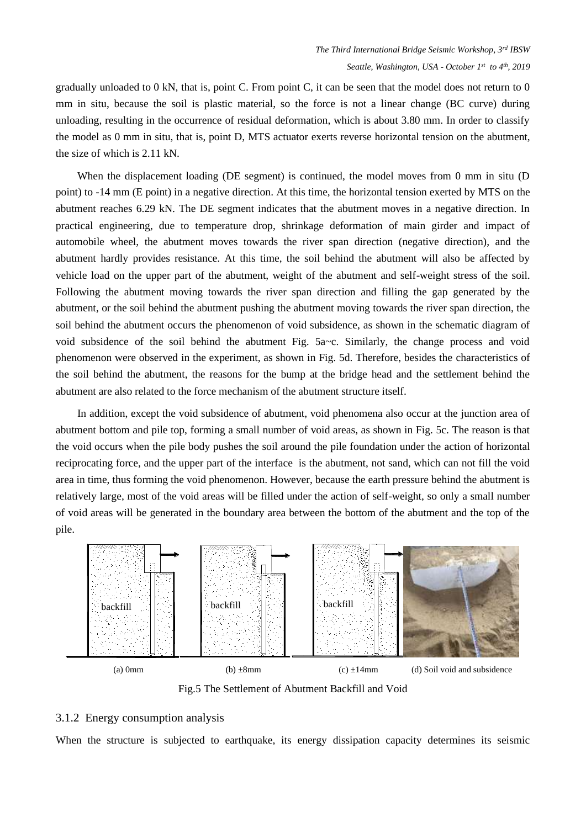gradually unloaded to 0 kN, that is, point C. From point C, it can be seen that the model does not return to 0 mm in situ, because the soil is plastic material, so the force is not a linear change (BC curve) during unloading, resulting in the occurrence of residual deformation, which is about 3.80 mm. In order to classify the model as 0 mm in situ, that is, point D, MTS actuator exerts reverse horizontal tension on the abutment, the size of which is 2.11 kN.

When the displacement loading (DE segment) is continued, the model moves from 0 mm in situ (D point) to -14 mm (E point) in a negative direction. At this time, the horizontal tension exerted by MTS on the abutment reaches 6.29 kN. The DE segment indicates that the abutment moves in a negative direction. In practical engineering, due to temperature drop, shrinkage deformation of main girder and impact of automobile wheel, the abutment moves towards the river span direction (negative direction), and the abutment hardly provides resistance. At this time, the soil behind the abutment will also be affected by vehicle load on the upper part of the abutment, weight of the abutment and self-weight stress of the soil. Following the abutment moving towards the river span direction and filling the gap generated by the abutment, or the soil behind the abutment pushing the abutment moving towards the river span direction, the soil behind the abutment occurs the phenomenon of void subsidence, as shown in the schematic diagram of void subsidence of the soil behind the abutment Fig.  $5a\text{-}c$ . Similarly, the change process and void phenomenon were observed in the experiment, as shown in Fig. 5d. Therefore, besides the characteristics of the soil behind the abutment, the reasons for the bump at the bridge head and the settlement behind the abutment are also related to the force mechanism of the abutment structure itself.

In addition, except the void subsidence of abutment, void phenomena also occur at the junction area of abutment bottom and pile top, forming a small number of void areas, as shown in Fig. 5c. The reason is that the void occurs when the pile body pushes the soil around the pile foundation under the action of horizontal reciprocating force, and the upper part of the interface is the abutment, not sand, which can not fill the void area in time, thus forming the void phenomenon. However, because the earth pressure behind the abutment is relatively large, most of the void areas will be filled under the action of self-weight, so only a small number of void areas will be generated in the boundary area between the bottom of the abutment and the top of the pile.



Fig.5 The Settlement of Abutment Backfill and Void

#### 3.1.2 Energy consumption analysis

When the structure is subjected to earthquake, its energy dissipation capacity determines its seismic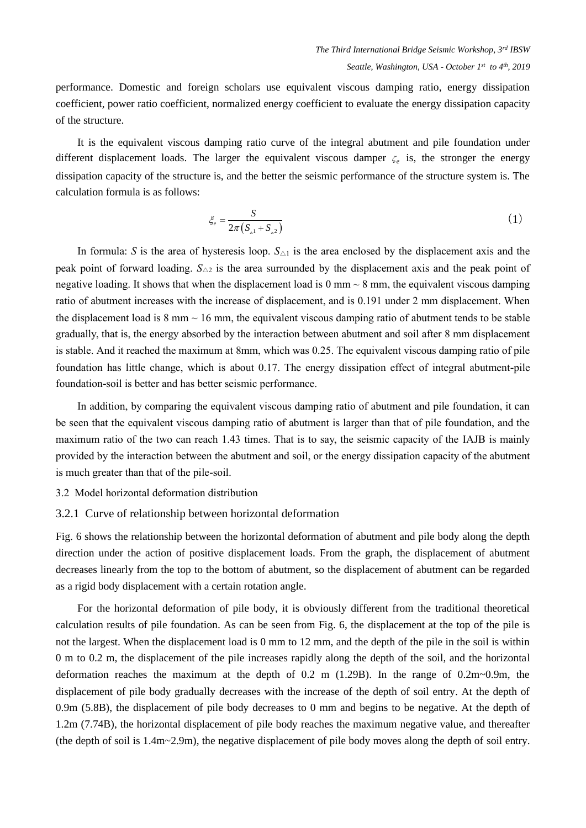performance. Domestic and foreign scholars use equivalent viscous damping ratio, energy dissipation coefficient, power ratio coefficient, normalized energy coefficient to evaluate the energy dissipation capacity of the structure.

It is the equivalent viscous damping ratio curve of the integral abutment and pile foundation under different displacement loads. The larger the equivalent viscous damper  $\zeta_e$  is, the stronger the energy dissipation capacity of the structure is, and the better the seismic performance of the structure system is. The calculation formula is as follows:

$$
\xi_e = \frac{S}{2\pi \left( S_{\scriptscriptstyle{\alpha}1} + S_{\scriptscriptstyle{\alpha}2} \right)} \tag{1}
$$

In formula: *S* is the area of hysteresis loop.  $S_{\Delta 1}$  is the area enclosed by the displacement axis and the peak point of forward loading. *S*△<sup>2</sup> is the area surrounded by the displacement axis and the peak point of negative loading. It shows that when the displacement load is  $0 \text{ mm} \sim 8 \text{ mm}$ , the equivalent viscous damping ratio of abutment increases with the increase of displacement, and is 0.191 under 2 mm displacement. When the displacement load is  $8 \text{ mm} \sim 16 \text{ mm}$ , the equivalent viscous damping ratio of abutment tends to be stable gradually, that is, the energy absorbed by the interaction between abutment and soil after 8 mm displacement is stable. And it reached the maximum at 8mm, which was 0.25. The equivalent viscous damping ratio of pile foundation has little change, which is about 0.17. The energy dissipation effect of integral abutment-pile foundation-soil is better and has better seismic performance.

In addition, by comparing the equivalent viscous damping ratio of abutment and pile foundation, it can be seen that the equivalent viscous damping ratio of abutment is larger than that of pile foundation, and the maximum ratio of the two can reach 1.43 times. That is to say, the seismic capacity of the IAJB is mainly provided by the interaction between the abutment and soil, or the energy dissipation capacity of the abutment is much greater than that of the pile-soil.

- 3.2 Model horizontal deformation distribution
- 3.2.1 Curve of relationship between horizontal deformation

Fig. 6 shows the relationship between the horizontal deformation of abutment and pile body along the depth direction under the action of positive displacement loads. From the graph, the displacement of abutment decreases linearly from the top to the bottom of abutment, so the displacement of abutment can be regarded as a rigid body displacement with a certain rotation angle.

For the horizontal deformation of pile body, it is obviously different from the traditional theoretical calculation results of pile foundation. As can be seen from Fig. 6, the displacement at the top of the pile is not the largest. When the displacement load is 0 mm to 12 mm, and the depth of the pile in the soil is within 0 m to 0.2 m, the displacement of the pile increases rapidly along the depth of the soil, and the horizontal deformation reaches the maximum at the depth of 0.2 m (1.29B). In the range of 0.2m~0.9m, the displacement of pile body gradually decreases with the increase of the depth of soil entry. At the depth of 0.9m (5.8B), the displacement of pile body decreases to 0 mm and begins to be negative. At the depth of 1.2m (7.74B), the horizontal displacement of pile body reaches the maximum negative value, and thereafter (the depth of soil is 1.4m~2.9m), the negative displacement of pile body moves along the depth of soil entry.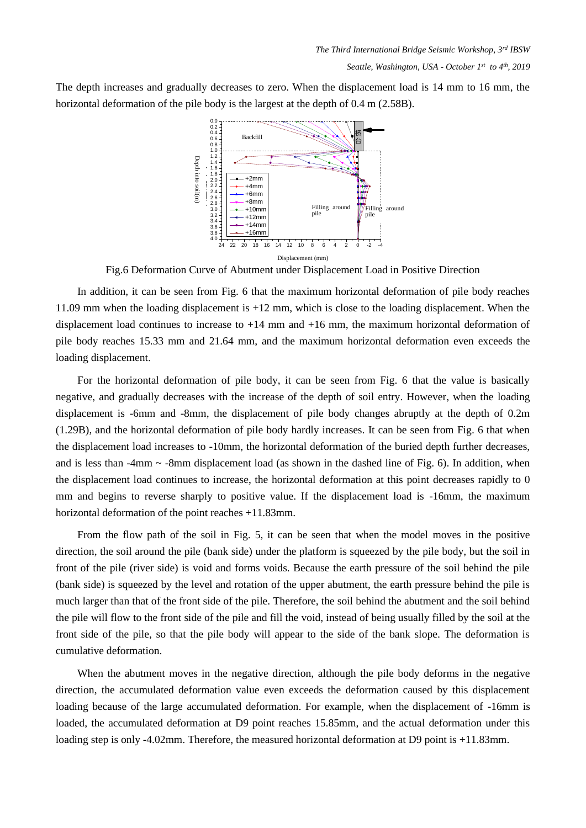The depth increases and gradually decreases to zero. When the displacement load is 14 mm to 16 mm, the horizontal deformation of the pile body is the largest at the depth of 0.4 m (2.58B).



Fig.6 Deformation Curve of Abutment under Displacement Load in Positive Direction

In addition, it can be seen from Fig. 6 that the maximum horizontal deformation of pile body reaches 11.09 mm when the loading displacement is +12 mm, which is close to the loading displacement. When the displacement load continues to increase to  $+14$  mm and  $+16$  mm, the maximum horizontal deformation of pile body reaches 15.33 mm and 21.64 mm, and the maximum horizontal deformation even exceeds the loading displacement.

For the horizontal deformation of pile body, it can be seen from Fig. 6 that the value is basically negative, and gradually decreases with the increase of the depth of soil entry. However, when the loading displacement is -6mm and -8mm, the displacement of pile body changes abruptly at the depth of 0.2m (1.29B), and the horizontal deformation of pile body hardly increases. It can be seen from Fig. 6 that when the displacement load increases to -10mm, the horizontal deformation of the buried depth further decreases, and is less than  $-4$ mm  $\sim$  -8mm displacement load (as shown in the dashed line of Fig. 6). In addition, when the displacement load continues to increase, the horizontal deformation at this point decreases rapidly to 0 mm and begins to reverse sharply to positive value. If the displacement load is -16mm, the maximum horizontal deformation of the point reaches +11.83mm.

From the flow path of the soil in Fig. 5, it can be seen that when the model moves in the positive direction, the soil around the pile (bank side) under the platform is squeezed by the pile body, but the soil in front of the pile (river side) is void and forms voids. Because the earth pressure of the soil behind the pile (bank side) is squeezed by the level and rotation of the upper abutment, the earth pressure behind the pile is much larger than that of the front side of the pile. Therefore, the soil behind the abutment and the soil behind the pile will flow to the front side of the pile and fill the void, instead of being usually filled by the soil at the front side of the pile, so that the pile body will appear to the side of the bank slope. The deformation is cumulative deformation.

When the abutment moves in the negative direction, although the pile body deforms in the negative direction, the accumulated deformation value even exceeds the deformation caused by this displacement loading because of the large accumulated deformation. For example, when the displacement of -16mm is loaded, the accumulated deformation at D9 point reaches 15.85mm, and the actual deformation under this loading step is only -4.02mm. Therefore, the measured horizontal deformation at D9 point is +11.83mm.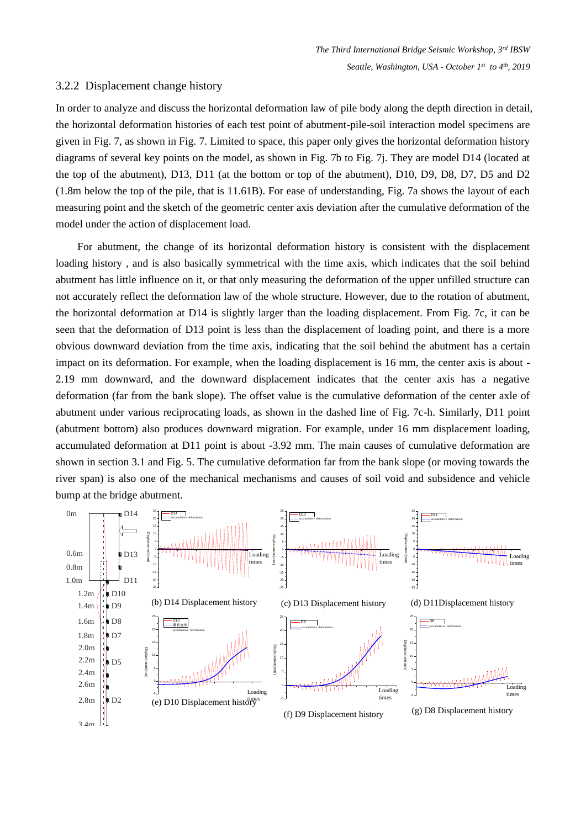#### 3.2.2 Displacement change history

In order to analyze and discuss the horizontal deformation law of pile body along the depth direction in detail, the horizontal deformation histories of each test point of abutment-pile-soil interaction model specimens are given in Fig. 7, as shown in Fig. 7. Limited to space, this paper only gives the horizontal deformation history diagrams of several key points on the model, as shown in Fig. 7b to Fig. 7j. They are model D14 (located at the top of the abutment), D13, D11 (at the bottom or top of the abutment), D10, D9, D8, D7, D5 and D2 (1.8m below the top of the pile, that is 11.61B). For ease of understanding, Fig. 7a shows the layout of each measuring point and the sketch of the geometric center axis deviation after the cumulative deformation of the model under the action of displacement load.

For abutment, the change of its horizontal deformation history is consistent with the displacement loading history , and is also basically symmetrical with the time axis, which indicates that the soil behind abutment has little influence on it, or that only measuring the deformation of the upper unfilled structure can not accurately reflect the deformation law of the whole structure. However, due to the rotation of abutment, the horizontal deformation at D14 is slightly larger than the loading displacement. From Fig. 7c, it can be seen that the deformation of D13 point is less than the displacement of loading point, and there is a more obvious downward deviation from the time axis, indicating that the soil behind the abutment has a certain impact on its deformation. For example, when the loading displacement is 16 mm, the center axis is about - 2.19 mm downward, and the downward displacement indicates that the center axis has a negative deformation (far from the bank slope). The offset value is the cumulative deformation of the center axle of abutment under various reciprocating loads, as shown in the dashed line of Fig. 7c-h. Similarly, D11 point (abutment bottom) also produces downward migration. For example, under 16 mm displacement loading, accumulated deformation at D11 point is about -3.92 mm. The main causes of cumulative deformation are shown in section 3.1 and Fig. 5. The cumulative deformation far from the bank slope (or moving towards the river span) is also one of the mechanical mechanisms and causes of soil void and subsidence and vehicle bump at the bridge abutment. Filence on it, or that only measuring the detormation of the upper untilled structure.<br>
the deformation at D14 is slightly larger than the loading displacement. From Fig. 7c, it and<br>
anatom at D14 is slightly larger than asuring the deformation of the upper unfilled structure can<br>whole structure. However, due to the rotation of abutment,<br>rer than the loading displacement. From Fig. 7c, it can be<br>an the displacement of loading point, and t the proper unified structure can<br>to the rotation of abutment,<br>tent. From Fig. 7c, it can be<br>g point, and there is a more<br>d the abutment has a certain<br>m, the center axis is about-<br>center axis has a negative<br>rmation of the

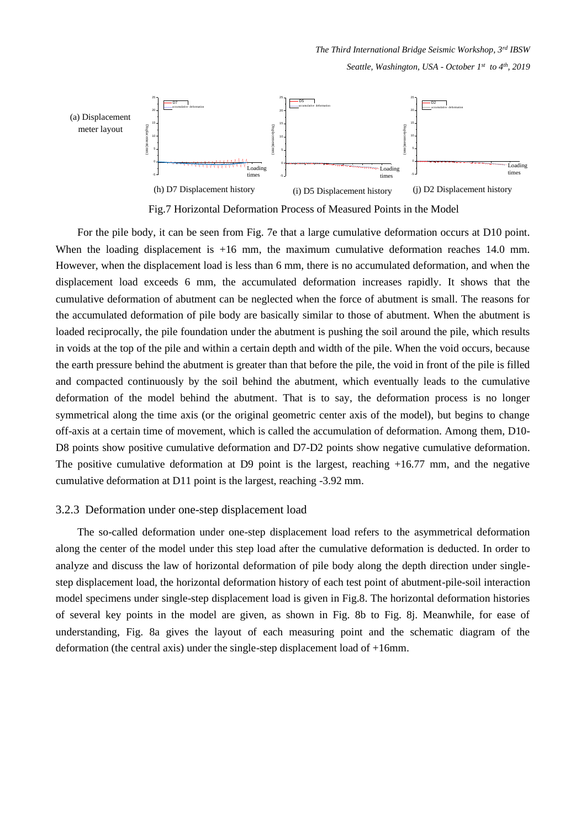*The Third International Bridge Seismic Workshop, 3rd IBSW Seattle, Washington, USA - October 1st to 4th, 2019*



Fig.7 Horizontal Deformation Process of Measured Points in the Model

For the pile body, it can be seen from Fig. 7e that a large cumulative deformation occurs at D10 point. When the loading displacement is  $+16$  mm, the maximum cumulative deformation reaches 14.0 mm. However, when the displacement load is less than 6 mm, there is no accumulated deformation, and when the displacement load exceeds 6 mm, the accumulated deformation increases rapidly. It shows that the cumulative deformation of abutment can be neglected when the force of abutment is small. The reasons for the accumulated deformation of pile body are basically similar to those of abutment. When the abutment is loaded reciprocally, the pile foundation under the abutment is pushing the soil around the pile, which results in voids at the top of the pile and within a certain depth and width of the pile. When the void occurs, because the earth pressure behind the abutment is greater than that before the pile, the void in front of the pile is filled and compacted continuously by the soil behind the abutment, which eventually leads to the cumulative deformation of the model behind the abutment. That is to say, the deformation process is no longer symmetrical along the time axis (or the original geometric center axis of the model), but begins to change off-axis at a certain time of movement, which is called the accumulation of deformation. Among them, D10- D8 points show positive cumulative deformation and D7-D2 points show negative cumulative deformation. The positive cumulative deformation at D9 point is the largest, reaching +16.77 mm, and the negative cumulative deformation at D11 point is the largest, reaching -3.92 mm.

#### 3.2.3 Deformation under one-step displacement load

The so-called deformation under one-step displacement load refers to the asymmetrical deformation along the center of the model under this step load after the cumulative deformation is deducted. In order to analyze and discuss the law of horizontal deformation of pile body along the depth direction under singlestep displacement load, the horizontal deformation history of each test point of abutment-pile-soil interaction model specimens under single-step displacement load is given in Fig.8. The horizontal deformation histories of several key points in the model are given, as shown in Fig. 8b to Fig. 8j. Meanwhile, for ease of understanding, Fig. 8a gives the layout of each measuring point and the schematic diagram of the deformation (the central axis) under the single-step displacement load of +16mm.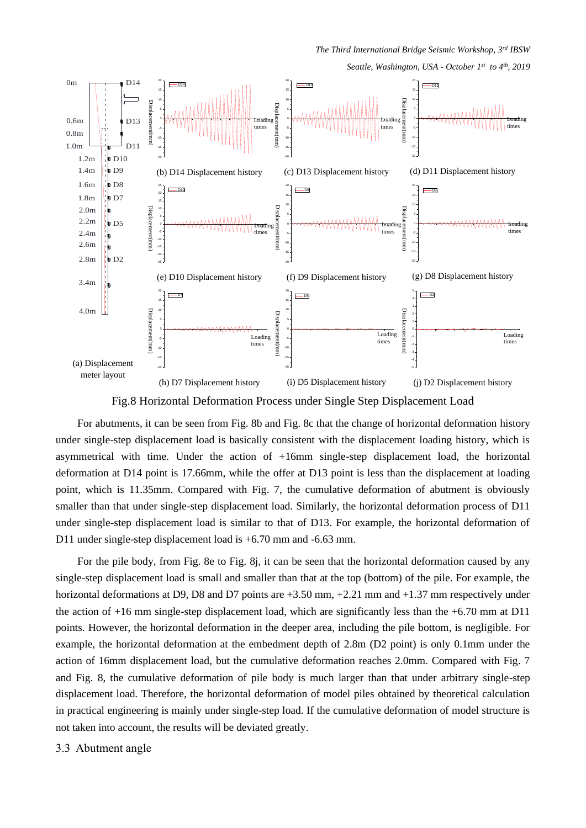*The Third International Bridge Seismic Workshop, 3rd IBSW* 

*Seattle, Washington, USA - October 1st to 4th, 2019*



Fig.8 Horizontal Deformation Process under Single Step Displacement Load

For abutments, it can be seen from Fig. 8b and Fig. 8c that the change of horizontal deformation history under single-step displacement load is basically consistent with the displacement loading history, which is asymmetrical with time. Under the action of +16mm single-step displacement load, the horizontal deformation at D14 point is 17.66mm, while the offer at D13 point is less than the displacement at loading point, which is 11.35mm. Compared with Fig. 7, the cumulative deformation of abutment is obviously smaller than that under single-step displacement load. Similarly, the horizontal deformation process of D11 under single-step displacement load is similar to that of D13. For example, the horizontal deformation of D11 under single-step displacement load is +6.70 mm and -6.63 mm.

For the pile body, from Fig. 8e to Fig. 8j, it can be seen that the horizontal deformation caused by any single-step displacement load is small and smaller than that at the top (bottom) of the pile. For example, the horizontal deformations at D9, D8 and D7 points are  $+3.50$  mm,  $+2.21$  mm and  $+1.37$  mm respectively under the action of  $+16$  mm single-step displacement load, which are significantly less than the  $+6.70$  mm at D11 points. However, the horizontal deformation in the deeper area, including the pile bottom, is negligible. For example, the horizontal deformation at the embedment depth of 2.8m (D2 point) is only 0.1mm under the action of 16mm displacement load, but the cumulative deformation reaches 2.0mm. Compared with Fig. 7 and Fig. 8, the cumulative deformation of pile body is much larger than that under arbitrary single-step displacement load. Therefore, the horizontal deformation of model piles obtained by theoretical calculation in practical engineering is mainly under single-step load. If the cumulative deformation of model structure is not taken into account, the results will be deviated greatly.

#### 3.3 Abutment angle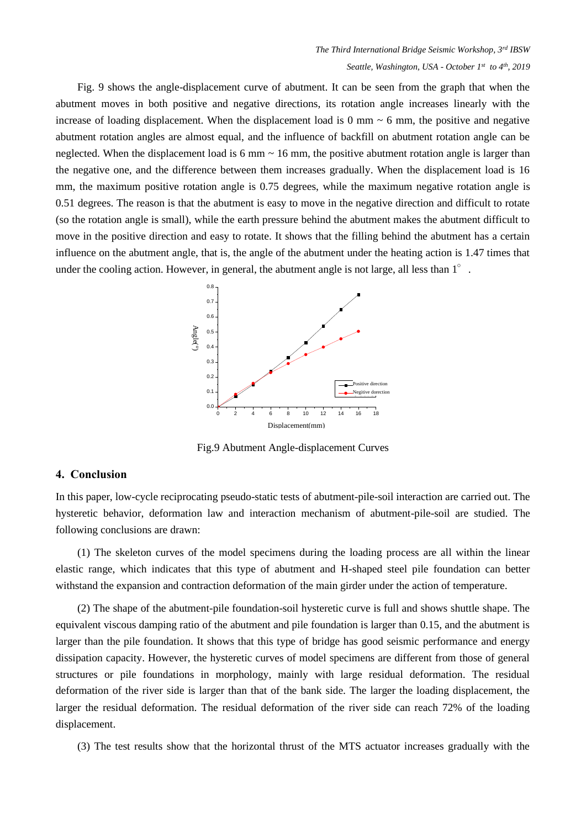Fig. 9 shows the angle-displacement curve of abutment. It can be seen from the graph that when the abutment moves in both positive and negative directions, its rotation angle increases linearly with the increase of loading displacement. When the displacement load is 0 mm  $\sim$  6 mm, the positive and negative abutment rotation angles are almost equal, and the influence of backfill on abutment rotation angle can be neglected. When the displacement load is 6 mm  $\sim$  16 mm, the positive abutment rotation angle is larger than the negative one, and the difference between them increases gradually. When the displacement load is 16 mm, the maximum positive rotation angle is 0.75 degrees, while the maximum negative rotation angle is 0.51 degrees. The reason is that the abutment is easy to move in the negative direction and difficult to rotate (so the rotation angle is small), while the earth pressure behind the abutment makes the abutment difficult to move in the positive direction and easy to rotate. It shows that the filling behind the abutment has a certain influence on the abutment angle, that is, the angle of the abutment under the heating action is 1.47 times that under the cooling action. However, in general, the abutment angle is not large, all less than  $1^{\circ}$ .



Fig.9 Abutment Angle-displacement Curves

#### **4. Conclusion**

In this paper, low-cycle reciprocating pseudo-static tests of abutment-pile-soil interaction are carried out. The hysteretic behavior, deformation law and interaction mechanism of abutment-pile-soil are studied. The following conclusions are drawn:

(1) The skeleton curves of the model specimens during the loading process are all within the linear elastic range, which indicates that this type of abutment and H-shaped steel pile foundation can better withstand the expansion and contraction deformation of the main girder under the action of temperature.

(2) The shape of the abutment-pile foundation-soil hysteretic curve is full and shows shuttle shape. The equivalent viscous damping ratio of the abutment and pile foundation is larger than 0.15, and the abutment is larger than the pile foundation. It shows that this type of bridge has good seismic performance and energy dissipation capacity. However, the hysteretic curves of model specimens are different from those of general structures or pile foundations in morphology, mainly with large residual deformation. The residual deformation of the river side is larger than that of the bank side. The larger the loading displacement, the larger the residual deformation. The residual deformation of the river side can reach 72% of the loading displacement.

(3) The test results show that the horizontal thrust of the MTS actuator increases gradually with the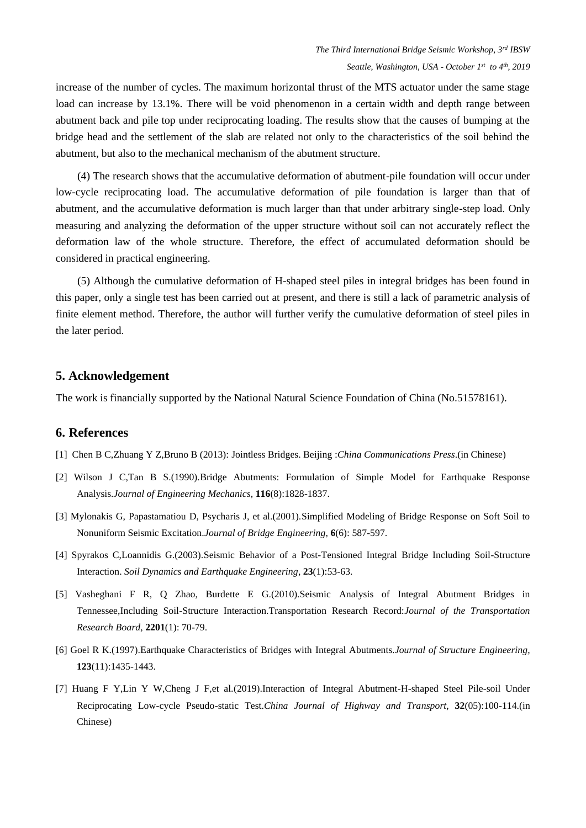increase of the number of cycles. The maximum horizontal thrust of the MTS actuator under the same stage load can increase by 13.1%. There will be void phenomenon in a certain width and depth range between abutment back and pile top under reciprocating loading. The results show that the causes of bumping at the bridge head and the settlement of the slab are related not only to the characteristics of the soil behind the abutment, but also to the mechanical mechanism of the abutment structure.

(4) The research shows that the accumulative deformation of abutment-pile foundation will occur under low-cycle reciprocating load. The accumulative deformation of pile foundation is larger than that of abutment, and the accumulative deformation is much larger than that under arbitrary single-step load. Only measuring and analyzing the deformation of the upper structure without soil can not accurately reflect the deformation law of the whole structure. Therefore, the effect of accumulated deformation should be considered in practical engineering.

(5) Although the cumulative deformation of H-shaped steel piles in integral bridges has been found in this paper, only a single test has been carried out at present, and there is still a lack of parametric analysis of finite element method. Therefore, the author will further verify the cumulative deformation of steel piles in the later period.

#### **5. Acknowledgement**

The work is financially supported by the National Natural Science Foundation of China (No.51578161).

#### **6. References**

- [1] Chen B C,Zhuang Y Z,Bruno B (2013): Jointless Bridges. Beijing :*China Communications Press*.(in Chinese)
- [2] Wilson J C,Tan B S.(1990).Bridge Abutments: Formulation of Simple Model for Earthquake Response Analysis.*Journal of Engineering Mechanics,* **116**(8):1828-1837.
- [3] Mylonakis G, Papastamatiou D, Psycharis J, et al.(2001).Simplified Modeling of Bridge Response on Soft Soil to Nonuniform Seismic Excitation.*Journal of Bridge Engineering,* **6**(6): 587-597.
- [4] Spyrakos C,Loannidis G.(2003).Seismic Behavior of a Post-Tensioned Integral Bridge Including Soil-Structure Interaction. *Soil Dynamics and Earthquake Engineering,* **23**(1):53-63.
- [5] Vasheghani F R, Q Zhao, Burdette E G.(2010).Seismic Analysis of Integral Abutment Bridges in Tennessee,Including Soil-Structure Interaction.Transportation Research Record:*Journal of the Transportation Research Board,* **2201**(1): 70-79.
- [6] Goel R K.(1997).Earthquake Characteristics of Bridges with Integral Abutments.*Journal of Structure Engineering,* **123**(11):1435-1443.
- [7] Huang F Y,Lin Y W,Cheng J F,et al.(2019).Interaction of Integral Abutment-H-shaped Steel Pile-soil Under Reciprocating Low-cycle Pseudo-static Test.*China Journal of Highway and Transport*, **32**(05):100-114.(in Chinese)